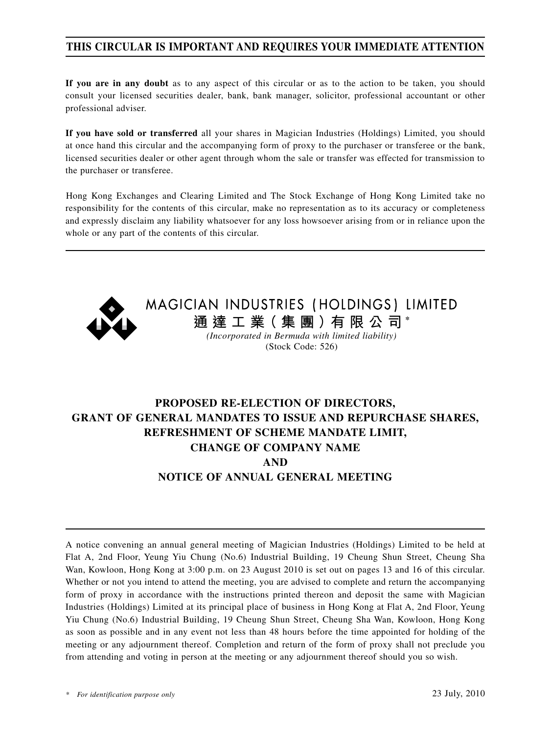## **THIS CIRCULAR IS IMPORTANT AND REQUIRES YOUR IMMEDIATE ATTENTION**

**If you are in any doubt** as to any aspect of this circular or as to the action to be taken, you should consult your licensed securities dealer, bank, bank manager, solicitor, professional accountant or other professional adviser.

**If you have sold or transferred** all your shares in Magician Industries (Holdings) Limited, you should at once hand this circular and the accompanying form of proxy to the purchaser or transferee or the bank, licensed securities dealer or other agent through whom the sale or transfer was effected for transmission to the purchaser or transferee.

Hong Kong Exchanges and Clearing Limited and The Stock Exchange of Hong Kong Limited take no responsibility for the contents of this circular, make no representation as to its accuracy or completeness and expressly disclaim any liability whatsoever for any loss howsoever arising from or in reliance upon the whole or any part of the contents of this circular.



MAGICIAN INDUSTRIES (HOLDINGS) LIMITED **通 達 工 業( 集 團 )有 限 公 司 \***

*(Incorporated in Bermuda with limited liability)* (Stock Code: 526)

## **PROPOSED RE-ELECTION OF DIRECTORS, GRANT OF GENERAL MANDATES TO ISSUE AND REPURCHASE SHARES, REFRESHMENT OF SCHEME MANDATE LIMIT, CHANGE OF COMPANY NAME AND NOTICE OF ANNUAL GENERAL MEETING**

A notice convening an annual general meeting of Magician Industries (Holdings) Limited to be held at Flat A, 2nd Floor, Yeung Yiu Chung (No.6) Industrial Building, 19 Cheung Shun Street, Cheung Sha Wan, Kowloon, Hong Kong at 3:00 p.m. on 23 August 2010 is set out on pages 13 and 16 of this circular. Whether or not you intend to attend the meeting, you are advised to complete and return the accompanying form of proxy in accordance with the instructions printed thereon and deposit the same with Magician Industries (Holdings) Limited at its principal place of business in Hong Kong at Flat A, 2nd Floor, Yeung Yiu Chung (No.6) Industrial Building, 19 Cheung Shun Street, Cheung Sha Wan, Kowloon, Hong Kong as soon as possible and in any event not less than 48 hours before the time appointed for holding of the meeting or any adjournment thereof. Completion and return of the form of proxy shall not preclude you from attending and voting in person at the meeting or any adjournment thereof should you so wish.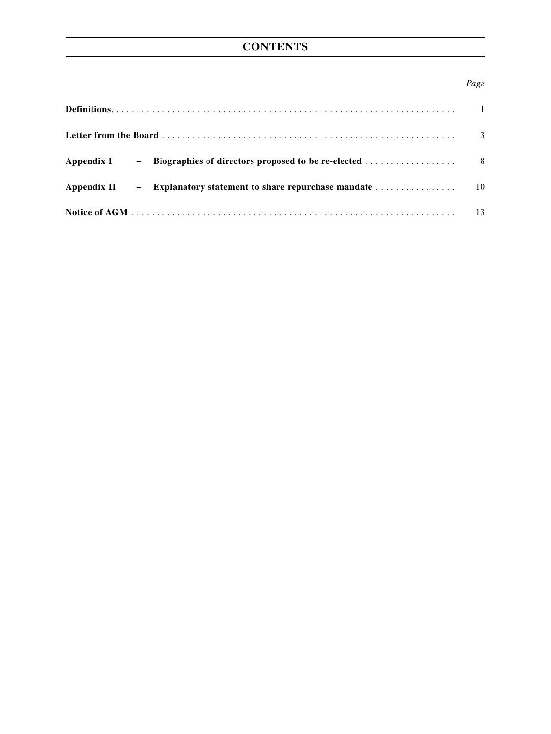## **CONTENTS**

## *Page*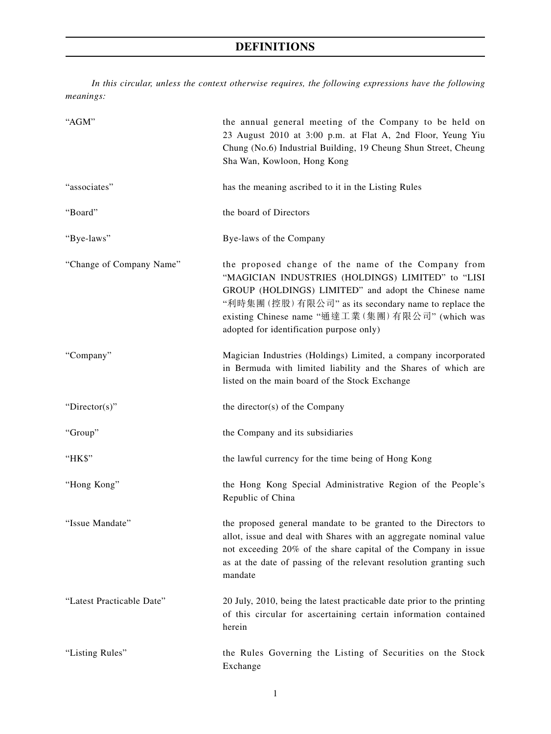# **DEFINITIONS**

*In this circular, unless the context otherwise requires, the following expressions have the following meanings:*

| "AGM"                     | the annual general meeting of the Company to be held on<br>23 August 2010 at 3:00 p.m. at Flat A, 2nd Floor, Yeung Yiu<br>Chung (No.6) Industrial Building, 19 Cheung Shun Street, Cheung<br>Sha Wan, Kowloon, Hong Kong                                                                                                 |
|---------------------------|--------------------------------------------------------------------------------------------------------------------------------------------------------------------------------------------------------------------------------------------------------------------------------------------------------------------------|
| "associates"              | has the meaning ascribed to it in the Listing Rules                                                                                                                                                                                                                                                                      |
| "Board"                   | the board of Directors                                                                                                                                                                                                                                                                                                   |
| "Bye-laws"                | Bye-laws of the Company                                                                                                                                                                                                                                                                                                  |
| "Change of Company Name"  | the proposed change of the name of the Company from<br>"MAGICIAN INDUSTRIES (HOLDINGS) LIMITED" to "LISI<br>GROUP (HOLDINGS) LIMITED" and adopt the Chinese name<br>"利時集團 (控股) 有限公司" as its secondary name to replace the<br>existing Chinese name "通達工業(集團)有限公司" (which was<br>adopted for identification purpose only) |
| "Company"                 | Magician Industries (Holdings) Limited, a company incorporated<br>in Bermuda with limited liability and the Shares of which are<br>listed on the main board of the Stock Exchange                                                                                                                                        |
| "Director(s)"             | the director(s) of the Company                                                                                                                                                                                                                                                                                           |
| "Group"                   | the Company and its subsidiaries                                                                                                                                                                                                                                                                                         |
| "HK\$"                    | the lawful currency for the time being of Hong Kong                                                                                                                                                                                                                                                                      |
| "Hong Kong"               | the Hong Kong Special Administrative Region of the People's<br>Republic of China                                                                                                                                                                                                                                         |
| "Issue Mandate"           | the proposed general mandate to be granted to the Directors to<br>allot, issue and deal with Shares with an aggregate nominal value<br>not exceeding 20% of the share capital of the Company in issue<br>as at the date of passing of the relevant resolution granting such<br>mandate                                   |
| "Latest Practicable Date" | 20 July, 2010, being the latest practicable date prior to the printing<br>of this circular for ascertaining certain information contained<br>herein                                                                                                                                                                      |
| "Listing Rules"           | the Rules Governing the Listing of Securities on the Stock<br>Exchange                                                                                                                                                                                                                                                   |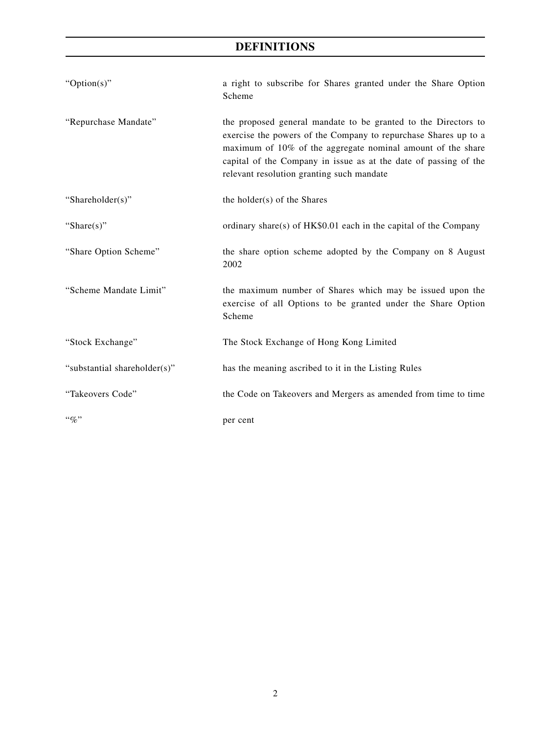## **DEFINITIONS**

| " $Option(s)$ "              | a right to subscribe for Shares granted under the Share Option<br>Scheme                                                                                                                                                                                                                                          |
|------------------------------|-------------------------------------------------------------------------------------------------------------------------------------------------------------------------------------------------------------------------------------------------------------------------------------------------------------------|
| "Repurchase Mandate"         | the proposed general mandate to be granted to the Directors to<br>exercise the powers of the Company to repurchase Shares up to a<br>maximum of 10% of the aggregate nominal amount of the share<br>capital of the Company in issue as at the date of passing of the<br>relevant resolution granting such mandate |
| "Shareholder(s)"             | the holder(s) of the Shares                                                                                                                                                                                                                                                                                       |
| "Share $(s)$ "               | ordinary share(s) of $HK$0.01$ each in the capital of the Company                                                                                                                                                                                                                                                 |
| "Share Option Scheme"        | the share option scheme adopted by the Company on 8 August<br>2002                                                                                                                                                                                                                                                |
| "Scheme Mandate Limit"       | the maximum number of Shares which may be issued upon the<br>exercise of all Options to be granted under the Share Option<br>Scheme                                                                                                                                                                               |
| "Stock Exchange"             | The Stock Exchange of Hong Kong Limited                                                                                                                                                                                                                                                                           |
| "substantial shareholder(s)" | has the meaning ascribed to it in the Listing Rules                                                                                                                                                                                                                                                               |
| "Takeovers Code"             | the Code on Takeovers and Mergers as amended from time to time                                                                                                                                                                                                                                                    |
| $``\%"$                      | per cent                                                                                                                                                                                                                                                                                                          |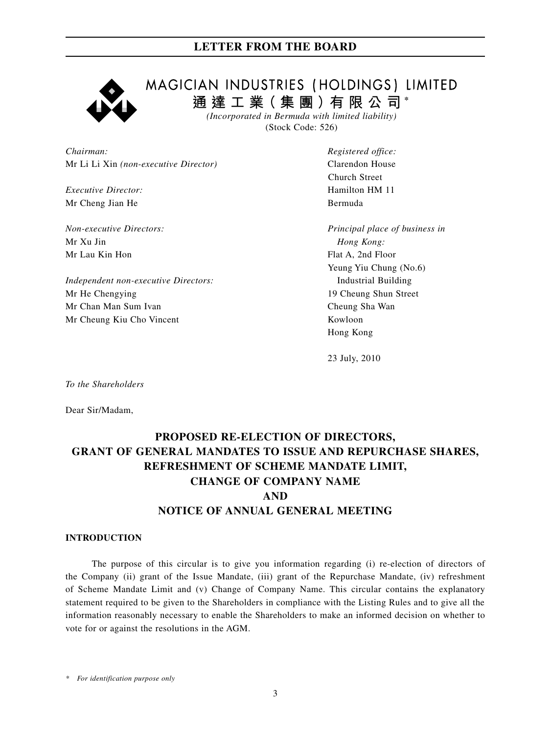

MAGICIAN INDUSTRIES (HOLDINGS) LIMITED **通 達 工 業( 集 團 )有 限 公 司 \***

*(Incorporated in Bermuda with limited liability)* (Stock Code: 526)

*Chairman: Registered office:* Mr Li Li Xin *(non-executive Director)* Clarendon House

*Executive Director:* Hamilton HM 11 Mr Cheng Jian He Bermuda

Mr Xu Jin *Hong Kong:* Mr Lau Kin Hon Flat A, 2nd Floor

*Independent non-executive Directors:* Industrial Building Mr He Chengying 2008 and the Chengying 2008 and the US and the US and the US and the US and the US and the US and the US and the US and the US and the US and the US and the US and the US and the US and the US and the US an Mr Chan Man Sum Ivan Cheung Sha Wan Mr Cheung Kiu Cho Vincent Kowloon

Church Street

*Non-executive Directors: Principal place of business in* Yeung Yiu Chung (No.6) Hong Kong

23 July, 2010

*To the Shareholders*

Dear Sir/Madam,

## **PROPOSED RE-ELECTION OF DIRECTORS, GRANT OF GENERAL MANDATES TO ISSUE AND REPURCHASE SHARES, REFRESHMENT OF SCHEME MANDATE LIMIT, CHANGE OF COMPANY NAME AND NOTICE OF ANNUAL GENERAL MEETING**

### **INTRODUCTION**

The purpose of this circular is to give you information regarding (i) re-election of directors of the Company (ii) grant of the Issue Mandate, (iii) grant of the Repurchase Mandate, (iv) refreshment of Scheme Mandate Limit and (v) Change of Company Name. This circular contains the explanatory statement required to be given to the Shareholders in compliance with the Listing Rules and to give all the information reasonably necessary to enable the Shareholders to make an informed decision on whether to vote for or against the resolutions in the AGM.

*\* For identification purpose only*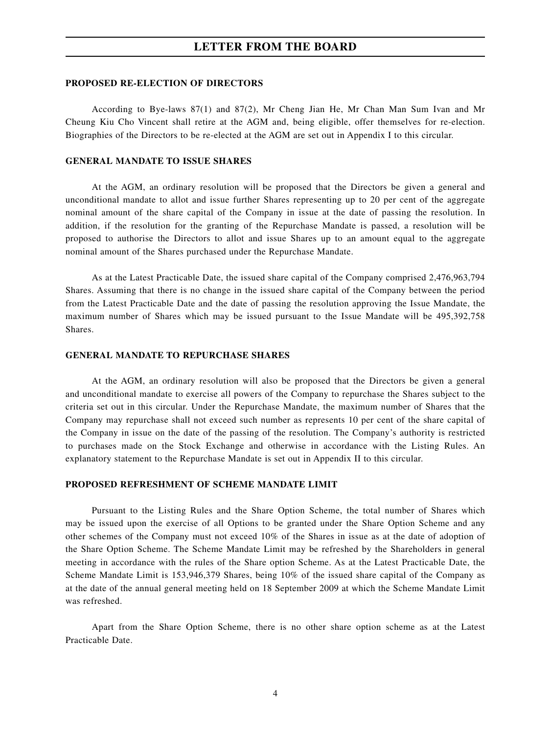#### **PROPOSED RE-ELECTION OF DIRECTORS**

According to Bye-laws 87(1) and 87(2), Mr Cheng Jian He, Mr Chan Man Sum Ivan and Mr Cheung Kiu Cho Vincent shall retire at the AGM and, being eligible, offer themselves for re-election. Biographies of the Directors to be re-elected at the AGM are set out in Appendix I to this circular.

#### **GENERAL MANDATE TO ISSUE SHARES**

At the AGM, an ordinary resolution will be proposed that the Directors be given a general and unconditional mandate to allot and issue further Shares representing up to 20 per cent of the aggregate nominal amount of the share capital of the Company in issue at the date of passing the resolution. In addition, if the resolution for the granting of the Repurchase Mandate is passed, a resolution will be proposed to authorise the Directors to allot and issue Shares up to an amount equal to the aggregate nominal amount of the Shares purchased under the Repurchase Mandate.

As at the Latest Practicable Date, the issued share capital of the Company comprised 2,476,963,794 Shares. Assuming that there is no change in the issued share capital of the Company between the period from the Latest Practicable Date and the date of passing the resolution approving the Issue Mandate, the maximum number of Shares which may be issued pursuant to the Issue Mandate will be 495,392,758 Shares.

#### **GENERAL MANDATE TO REPURCHASE SHARES**

At the AGM, an ordinary resolution will also be proposed that the Directors be given a general and unconditional mandate to exercise all powers of the Company to repurchase the Shares subject to the criteria set out in this circular. Under the Repurchase Mandate, the maximum number of Shares that the Company may repurchase shall not exceed such number as represents 10 per cent of the share capital of the Company in issue on the date of the passing of the resolution. The Company's authority is restricted to purchases made on the Stock Exchange and otherwise in accordance with the Listing Rules. An explanatory statement to the Repurchase Mandate is set out in Appendix II to this circular.

#### **PROPOSED REFRESHMENT OF SCHEME MANDATE LIMIT**

Pursuant to the Listing Rules and the Share Option Scheme, the total number of Shares which may be issued upon the exercise of all Options to be granted under the Share Option Scheme and any other schemes of the Company must not exceed 10% of the Shares in issue as at the date of adoption of the Share Option Scheme. The Scheme Mandate Limit may be refreshed by the Shareholders in general meeting in accordance with the rules of the Share option Scheme. As at the Latest Practicable Date, the Scheme Mandate Limit is 153,946,379 Shares, being 10% of the issued share capital of the Company as at the date of the annual general meeting held on 18 September 2009 at which the Scheme Mandate Limit was refreshed.

Apart from the Share Option Scheme, there is no other share option scheme as at the Latest Practicable Date.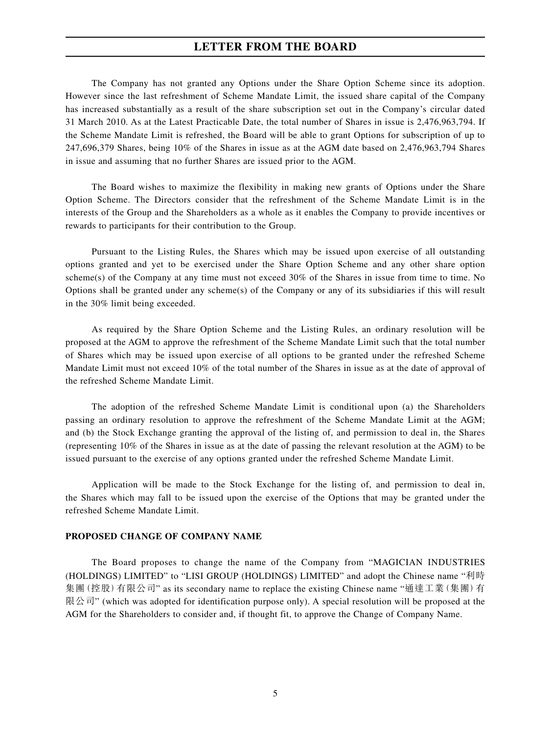The Company has not granted any Options under the Share Option Scheme since its adoption. However since the last refreshment of Scheme Mandate Limit, the issued share capital of the Company has increased substantially as a result of the share subscription set out in the Company's circular dated 31 March 2010. As at the Latest Practicable Date, the total number of Shares in issue is 2,476,963,794. If the Scheme Mandate Limit is refreshed, the Board will be able to grant Options for subscription of up to 247,696,379 Shares, being 10% of the Shares in issue as at the AGM date based on 2,476,963,794 Shares in issue and assuming that no further Shares are issued prior to the AGM.

The Board wishes to maximize the flexibility in making new grants of Options under the Share Option Scheme. The Directors consider that the refreshment of the Scheme Mandate Limit is in the interests of the Group and the Shareholders as a whole as it enables the Company to provide incentives or rewards to participants for their contribution to the Group.

Pursuant to the Listing Rules, the Shares which may be issued upon exercise of all outstanding options granted and yet to be exercised under the Share Option Scheme and any other share option scheme(s) of the Company at any time must not exceed 30% of the Shares in issue from time to time. No Options shall be granted under any scheme(s) of the Company or any of its subsidiaries if this will result in the 30% limit being exceeded.

As required by the Share Option Scheme and the Listing Rules, an ordinary resolution will be proposed at the AGM to approve the refreshment of the Scheme Mandate Limit such that the total number of Shares which may be issued upon exercise of all options to be granted under the refreshed Scheme Mandate Limit must not exceed 10% of the total number of the Shares in issue as at the date of approval of the refreshed Scheme Mandate Limit.

The adoption of the refreshed Scheme Mandate Limit is conditional upon (a) the Shareholders passing an ordinary resolution to approve the refreshment of the Scheme Mandate Limit at the AGM; and (b) the Stock Exchange granting the approval of the listing of, and permission to deal in, the Shares (representing 10% of the Shares in issue as at the date of passing the relevant resolution at the AGM) to be issued pursuant to the exercise of any options granted under the refreshed Scheme Mandate Limit.

Application will be made to the Stock Exchange for the listing of, and permission to deal in, the Shares which may fall to be issued upon the exercise of the Options that may be granted under the refreshed Scheme Mandate Limit.

#### **PROPOSED CHANGE OF COMPANY NAME**

The Board proposes to change the name of the Company from "MAGICIAN INDUSTRIES (HOLDINGS) LIMITED" to "LISI GROUP (HOLDINGS) LIMITED" and adopt the Chinese name "利時 集團(控股)有限公司" as its secondary name to replace the existing Chinese name "通達工業(集團)有 限公司" (which was adopted for identification purpose only). A special resolution will be proposed at the AGM for the Shareholders to consider and, if thought fit, to approve the Change of Company Name.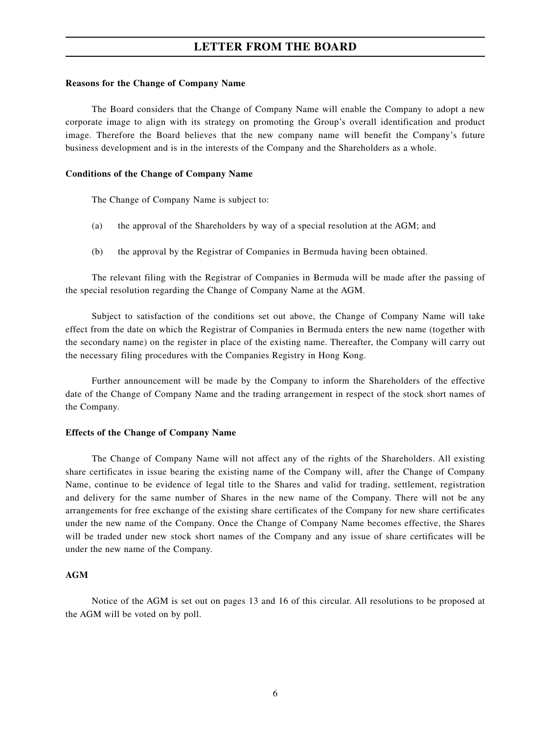#### **Reasons for the Change of Company Name**

The Board considers that the Change of Company Name will enable the Company to adopt a new corporate image to align with its strategy on promoting the Group's overall identification and product image. Therefore the Board believes that the new company name will benefit the Company's future business development and is in the interests of the Company and the Shareholders as a whole.

#### **Conditions of the Change of Company Name**

The Change of Company Name is subject to:

- (a) the approval of the Shareholders by way of a special resolution at the AGM; and
- (b) the approval by the Registrar of Companies in Bermuda having been obtained.

The relevant filing with the Registrar of Companies in Bermuda will be made after the passing of the special resolution regarding the Change of Company Name at the AGM.

Subject to satisfaction of the conditions set out above, the Change of Company Name will take effect from the date on which the Registrar of Companies in Bermuda enters the new name (together with the secondary name) on the register in place of the existing name. Thereafter, the Company will carry out the necessary filing procedures with the Companies Registry in Hong Kong.

Further announcement will be made by the Company to inform the Shareholders of the effective date of the Change of Company Name and the trading arrangement in respect of the stock short names of the Company.

#### **Effects of the Change of Company Name**

The Change of Company Name will not affect any of the rights of the Shareholders. All existing share certificates in issue bearing the existing name of the Company will, after the Change of Company Name, continue to be evidence of legal title to the Shares and valid for trading, settlement, registration and delivery for the same number of Shares in the new name of the Company. There will not be any arrangements for free exchange of the existing share certificates of the Company for new share certificates under the new name of the Company. Once the Change of Company Name becomes effective, the Shares will be traded under new stock short names of the Company and any issue of share certificates will be under the new name of the Company.

#### **AGM**

Notice of the AGM is set out on pages 13 and 16 of this circular. All resolutions to be proposed at the AGM will be voted on by poll.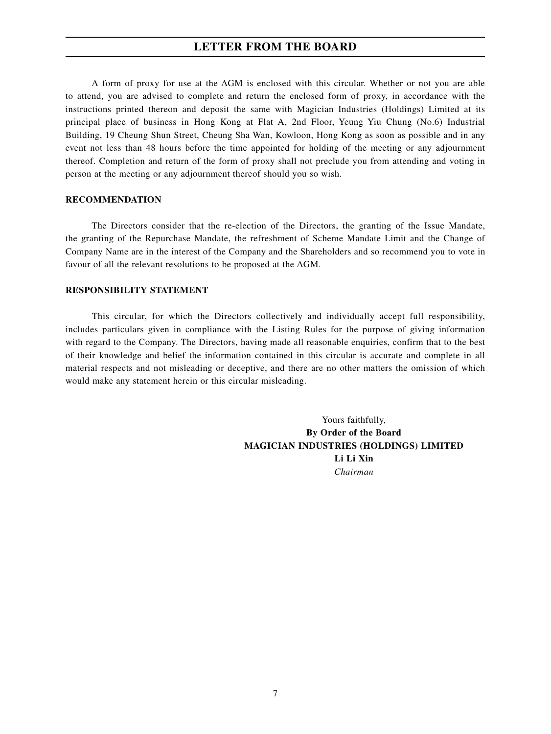A form of proxy for use at the AGM is enclosed with this circular. Whether or not you are able to attend, you are advised to complete and return the enclosed form of proxy, in accordance with the instructions printed thereon and deposit the same with Magician Industries (Holdings) Limited at its principal place of business in Hong Kong at Flat A, 2nd Floor, Yeung Yiu Chung (No.6) Industrial Building, 19 Cheung Shun Street, Cheung Sha Wan, Kowloon, Hong Kong as soon as possible and in any event not less than 48 hours before the time appointed for holding of the meeting or any adjournment thereof. Completion and return of the form of proxy shall not preclude you from attending and voting in person at the meeting or any adjournment thereof should you so wish.

#### **RECOMMENDATION**

The Directors consider that the re-election of the Directors, the granting of the Issue Mandate, the granting of the Repurchase Mandate, the refreshment of Scheme Mandate Limit and the Change of Company Name are in the interest of the Company and the Shareholders and so recommend you to vote in favour of all the relevant resolutions to be proposed at the AGM.

#### **RESPONSIBILITY STATEMENT**

This circular, for which the Directors collectively and individually accept full responsibility, includes particulars given in compliance with the Listing Rules for the purpose of giving information with regard to the Company. The Directors, having made all reasonable enquiries, confirm that to the best of their knowledge and belief the information contained in this circular is accurate and complete in all material respects and not misleading or deceptive, and there are no other matters the omission of which would make any statement herein or this circular misleading.

> Yours faithfully, **By Order of the Board MAGICIAN INDUSTRIES (HOLDINGS) LIMITED Li Li Xin** *Chairman*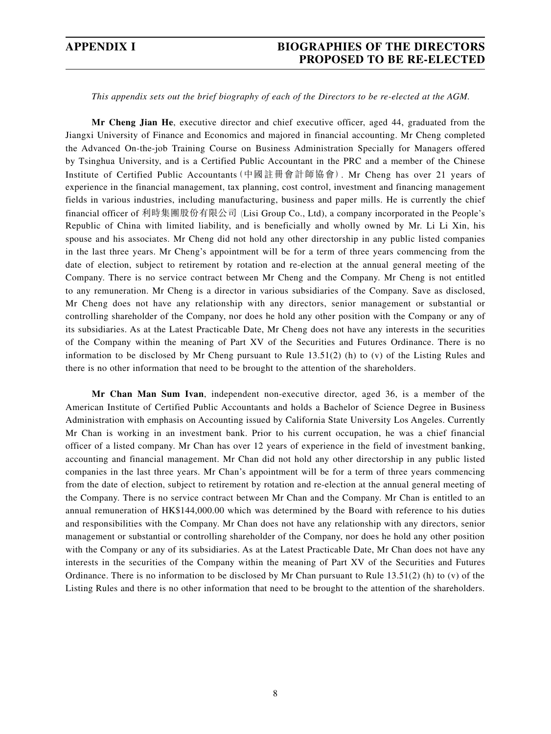## **APPENDIX I BIOGRAPHIES OF THE DIRECTORS PROPOSED TO BE RE-ELECTED**

#### *This appendix sets out the brief biography of each of the Directors to be re-elected at the AGM.*

**Mr Cheng Jian He**, executive director and chief executive officer, aged 44, graduated from the Jiangxi University of Finance and Economics and majored in financial accounting. Mr Cheng completed the Advanced On-the-job Training Course on Business Administration Specially for Managers offered by Tsinghua University, and is a Certified Public Accountant in the PRC and a member of the Chinese Institute of Certified Public Accountants(中國註冊會計師協會). Mr Cheng has over 21 years of experience in the financial management, tax planning, cost control, investment and financing management fields in various industries, including manufacturing, business and paper mills. He is currently the chief financial officer of 利時集團股份有限公司 (Lisi Group Co., Ltd), a company incorporated in the People's Republic of China with limited liability, and is beneficially and wholly owned by Mr. Li Li Xin, his spouse and his associates. Mr Cheng did not hold any other directorship in any public listed companies in the last three years. Mr Cheng's appointment will be for a term of three years commencing from the date of election, subject to retirement by rotation and re-election at the annual general meeting of the Company. There is no service contract between Mr Cheng and the Company. Mr Cheng is not entitled to any remuneration. Mr Cheng is a director in various subsidiaries of the Company. Save as disclosed, Mr Cheng does not have any relationship with any directors, senior management or substantial or controlling shareholder of the Company, nor does he hold any other position with the Company or any of its subsidiaries. As at the Latest Practicable Date, Mr Cheng does not have any interests in the securities of the Company within the meaning of Part XV of the Securities and Futures Ordinance. There is no information to be disclosed by Mr Cheng pursuant to Rule 13.51(2) (h) to (v) of the Listing Rules and there is no other information that need to be brought to the attention of the shareholders.

**Mr Chan Man Sum Ivan**, independent non-executive director, aged 36, is a member of the American Institute of Certified Public Accountants and holds a Bachelor of Science Degree in Business Administration with emphasis on Accounting issued by California State University Los Angeles. Currently Mr Chan is working in an investment bank. Prior to his current occupation, he was a chief financial officer of a listed company. Mr Chan has over 12 years of experience in the field of investment banking, accounting and financial management. Mr Chan did not hold any other directorship in any public listed companies in the last three years. Mr Chan's appointment will be for a term of three years commencing from the date of election, subject to retirement by rotation and re-election at the annual general meeting of the Company. There is no service contract between Mr Chan and the Company. Mr Chan is entitled to an annual remuneration of HK\$144,000.00 which was determined by the Board with reference to his duties and responsibilities with the Company. Mr Chan does not have any relationship with any directors, senior management or substantial or controlling shareholder of the Company, nor does he hold any other position with the Company or any of its subsidiaries. As at the Latest Practicable Date, Mr Chan does not have any interests in the securities of the Company within the meaning of Part XV of the Securities and Futures Ordinance. There is no information to be disclosed by Mr Chan pursuant to Rule  $13.51(2)$  (h) to (v) of the Listing Rules and there is no other information that need to be brought to the attention of the shareholders.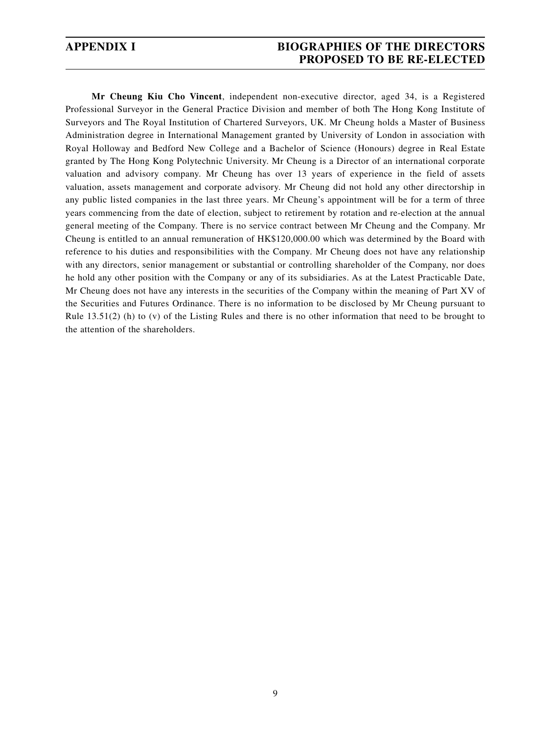## **APPENDIX I BIOGRAPHIES OF THE DIRECTORS PROPOSED TO BE RE-ELECTED**

**Mr Cheung Kiu Cho Vincent**, independent non-executive director, aged 34, is a Registered Professional Surveyor in the General Practice Division and member of both The Hong Kong Institute of Surveyors and The Royal Institution of Chartered Surveyors, UK. Mr Cheung holds a Master of Business Administration degree in International Management granted by University of London in association with Royal Holloway and Bedford New College and a Bachelor of Science (Honours) degree in Real Estate granted by The Hong Kong Polytechnic University. Mr Cheung is a Director of an international corporate valuation and advisory company. Mr Cheung has over 13 years of experience in the field of assets valuation, assets management and corporate advisory. Mr Cheung did not hold any other directorship in any public listed companies in the last three years. Mr Cheung's appointment will be for a term of three years commencing from the date of election, subject to retirement by rotation and re-election at the annual general meeting of the Company. There is no service contract between Mr Cheung and the Company. Mr Cheung is entitled to an annual remuneration of HK\$120,000.00 which was determined by the Board with reference to his duties and responsibilities with the Company. Mr Cheung does not have any relationship with any directors, senior management or substantial or controlling shareholder of the Company, nor does he hold any other position with the Company or any of its subsidiaries. As at the Latest Practicable Date, Mr Cheung does not have any interests in the securities of the Company within the meaning of Part XV of the Securities and Futures Ordinance. There is no information to be disclosed by Mr Cheung pursuant to Rule 13.51(2) (h) to (v) of the Listing Rules and there is no other information that need to be brought to the attention of the shareholders.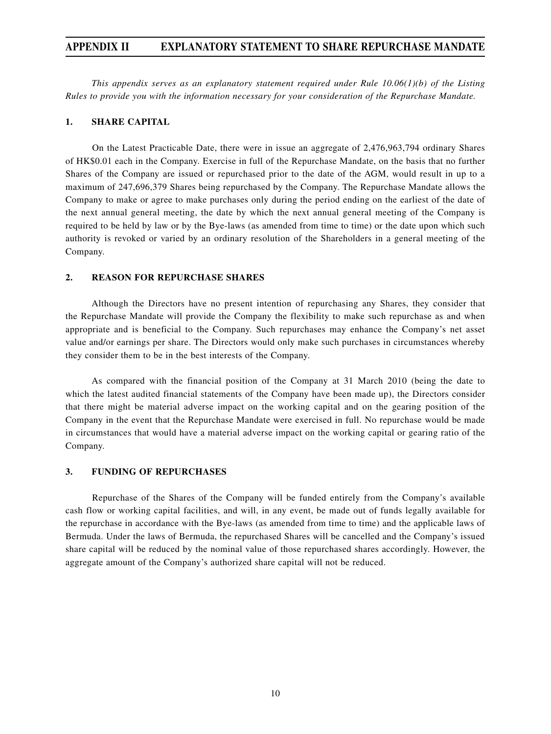## **APPENDIX II EXPLANATORY STATEMENT TO SHARE REPURCHASE MANDATE**

*This appendix serves as an explanatory statement required under Rule 10.06(1)(b) of the Listing Rules to provide you with the information necessary for your consideration of the Repurchase Mandate.*

#### **1. SHARE CAPITAL**

On the Latest Practicable Date, there were in issue an aggregate of 2,476,963,794 ordinary Shares of HK\$0.01 each in the Company. Exercise in full of the Repurchase Mandate, on the basis that no further Shares of the Company are issued or repurchased prior to the date of the AGM, would result in up to a maximum of 247,696,379 Shares being repurchased by the Company. The Repurchase Mandate allows the Company to make or agree to make purchases only during the period ending on the earliest of the date of the next annual general meeting, the date by which the next annual general meeting of the Company is required to be held by law or by the Bye-laws (as amended from time to time) or the date upon which such authority is revoked or varied by an ordinary resolution of the Shareholders in a general meeting of the Company.

### **2. REASON FOR REPURCHASE SHARES**

Although the Directors have no present intention of repurchasing any Shares, they consider that the Repurchase Mandate will provide the Company the flexibility to make such repurchase as and when appropriate and is beneficial to the Company. Such repurchases may enhance the Company's net asset value and/or earnings per share. The Directors would only make such purchases in circumstances whereby they consider them to be in the best interests of the Company.

As compared with the financial position of the Company at 31 March 2010 (being the date to which the latest audited financial statements of the Company have been made up), the Directors consider that there might be material adverse impact on the working capital and on the gearing position of the Company in the event that the Repurchase Mandate were exercised in full. No repurchase would be made in circumstances that would have a material adverse impact on the working capital or gearing ratio of the Company.

#### **3. FUNDING OF REPURCHASES**

Repurchase of the Shares of the Company will be funded entirely from the Company's available cash flow or working capital facilities, and will, in any event, be made out of funds legally available for the repurchase in accordance with the Bye-laws (as amended from time to time) and the applicable laws of Bermuda. Under the laws of Bermuda, the repurchased Shares will be cancelled and the Company's issued share capital will be reduced by the nominal value of those repurchased shares accordingly. However, the aggregate amount of the Company's authorized share capital will not be reduced.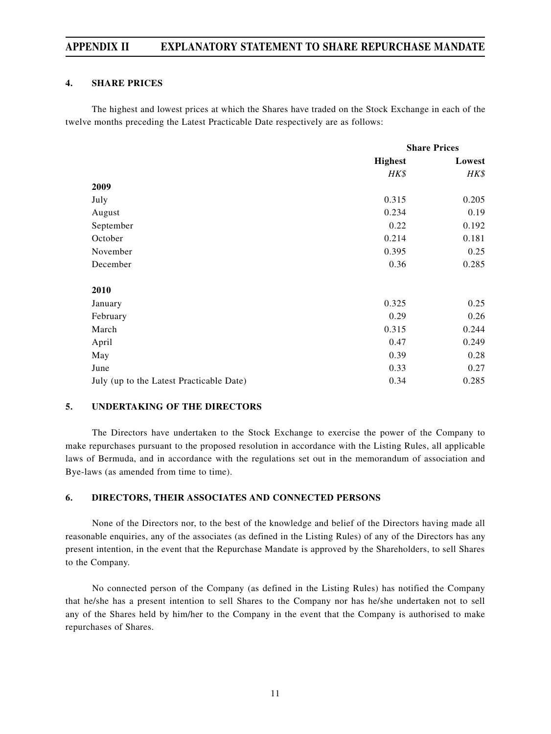## **APPENDIX II EXPLANATORY STATEMENT TO SHARE REPURCHASE MANDATE**

### **4. SHARE PRICES**

The highest and lowest prices at which the Shares have traded on the Stock Exchange in each of the twelve months preceding the Latest Practicable Date respectively are as follows:

|                                          | <b>Share Prices</b> |        |
|------------------------------------------|---------------------|--------|
|                                          | <b>Highest</b>      | Lowest |
|                                          | HK\$                | HK\$   |
| 2009                                     |                     |        |
| July                                     | 0.315               | 0.205  |
| August                                   | 0.234               | 0.19   |
| September                                | 0.22                | 0.192  |
| October                                  | 0.214               | 0.181  |
| November                                 | 0.395               | 0.25   |
| December                                 | 0.36                | 0.285  |
| 2010                                     |                     |        |
| January                                  | 0.325               | 0.25   |
| February                                 | 0.29                | 0.26   |
| March                                    | 0.315               | 0.244  |
| April                                    | 0.47                | 0.249  |
| May                                      | 0.39                | 0.28   |
| June                                     | 0.33                | 0.27   |
| July (up to the Latest Practicable Date) | 0.34                | 0.285  |

#### **5. UNDERTAKING OF THE DIRECTORS**

The Directors have undertaken to the Stock Exchange to exercise the power of the Company to make repurchases pursuant to the proposed resolution in accordance with the Listing Rules, all applicable laws of Bermuda, and in accordance with the regulations set out in the memorandum of association and Bye-laws (as amended from time to time).

#### **6. DIRECTORS, THEIR ASSOCIATES AND CONNECTED PERSONS**

None of the Directors nor, to the best of the knowledge and belief of the Directors having made all reasonable enquiries, any of the associates (as defined in the Listing Rules) of any of the Directors has any present intention, in the event that the Repurchase Mandate is approved by the Shareholders, to sell Shares to the Company.

No connected person of the Company (as defined in the Listing Rules) has notified the Company that he/she has a present intention to sell Shares to the Company nor has he/she undertaken not to sell any of the Shares held by him/her to the Company in the event that the Company is authorised to make repurchases of Shares.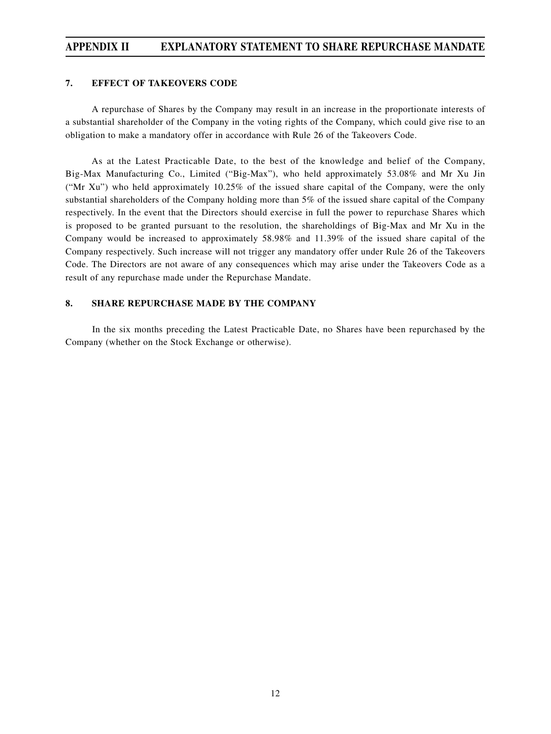## **APPENDIX II EXPLANATORY STATEMENT TO SHARE REPURCHASE MANDATE**

## **7. EFFECT OF TAKEOVERS CODE**

A repurchase of Shares by the Company may result in an increase in the proportionate interests of a substantial shareholder of the Company in the voting rights of the Company, which could give rise to an obligation to make a mandatory offer in accordance with Rule 26 of the Takeovers Code.

As at the Latest Practicable Date, to the best of the knowledge and belief of the Company, Big-Max Manufacturing Co., Limited ("Big-Max"), who held approximately 53.08% and Mr Xu Jin ("Mr Xu") who held approximately 10.25% of the issued share capital of the Company, were the only substantial shareholders of the Company holding more than 5% of the issued share capital of the Company respectively. In the event that the Directors should exercise in full the power to repurchase Shares which is proposed to be granted pursuant to the resolution, the shareholdings of Big-Max and Mr Xu in the Company would be increased to approximately 58.98% and 11.39% of the issued share capital of the Company respectively. Such increase will not trigger any mandatory offer under Rule 26 of the Takeovers Code. The Directors are not aware of any consequences which may arise under the Takeovers Code as a result of any repurchase made under the Repurchase Mandate.

## **8. SHARE REPURCHASE MADE BY THE COMPANY**

In the six months preceding the Latest Practicable Date, no Shares have been repurchased by the Company (whether on the Stock Exchange or otherwise).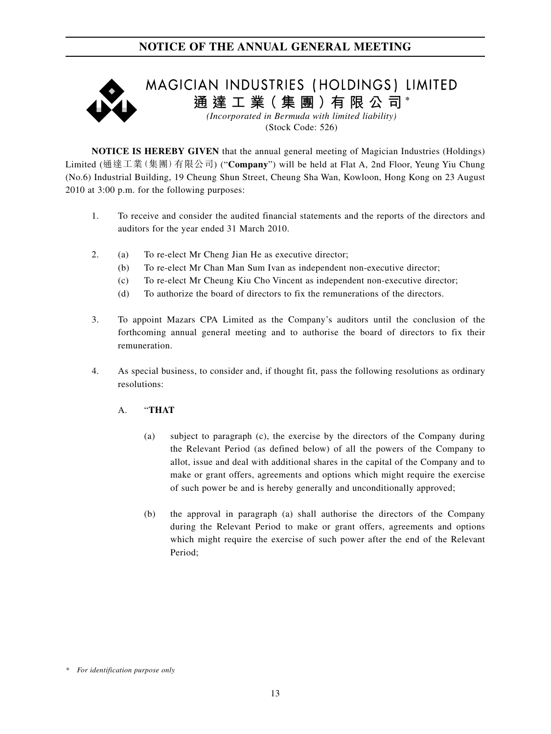

**NOTICE IS HEREBY GIVEN** that the annual general meeting of Magician Industries (Holdings) Limited (通達工業(集團)有限公司) ("**Company**") will be held at Flat A, 2nd Floor, Yeung Yiu Chung (No.6) Industrial Building, 19 Cheung Shun Street, Cheung Sha Wan, Kowloon, Hong Kong on 23 August 2010 at 3:00 p.m. for the following purposes:

- 1. To receive and consider the audited financial statements and the reports of the directors and auditors for the year ended 31 March 2010.
- 2. (a) To re-elect Mr Cheng Jian He as executive director;
	- (b) To re-elect Mr Chan Man Sum Ivan as independent non-executive director;
	- (c) To re-elect Mr Cheung Kiu Cho Vincent as independent non-executive director;
	- (d) To authorize the board of directors to fix the remunerations of the directors.
- 3. To appoint Mazars CPA Limited as the Company's auditors until the conclusion of the forthcoming annual general meeting and to authorise the board of directors to fix their remuneration.
- 4. As special business, to consider and, if thought fit, pass the following resolutions as ordinary resolutions:
	- A. "**THAT**
		- (a) subject to paragraph (c), the exercise by the directors of the Company during the Relevant Period (as defined below) of all the powers of the Company to allot, issue and deal with additional shares in the capital of the Company and to make or grant offers, agreements and options which might require the exercise of such power be and is hereby generally and unconditionally approved;
		- (b) the approval in paragraph (a) shall authorise the directors of the Company during the Relevant Period to make or grant offers, agreements and options which might require the exercise of such power after the end of the Relevant Period;

*<sup>\*</sup> For identification purpose only*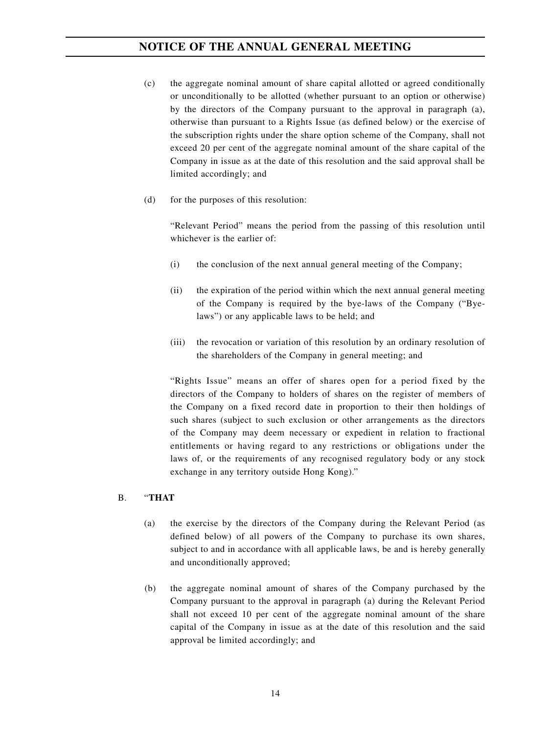- (c) the aggregate nominal amount of share capital allotted or agreed conditionally or unconditionally to be allotted (whether pursuant to an option or otherwise) by the directors of the Company pursuant to the approval in paragraph (a), otherwise than pursuant to a Rights Issue (as defined below) or the exercise of the subscription rights under the share option scheme of the Company, shall not exceed 20 per cent of the aggregate nominal amount of the share capital of the Company in issue as at the date of this resolution and the said approval shall be limited accordingly; and
- (d) for the purposes of this resolution:

"Relevant Period" means the period from the passing of this resolution until whichever is the earlier of:

- (i) the conclusion of the next annual general meeting of the Company;
- (ii) the expiration of the period within which the next annual general meeting of the Company is required by the bye-laws of the Company ("Byelaws") or any applicable laws to be held; and
- (iii) the revocation or variation of this resolution by an ordinary resolution of the shareholders of the Company in general meeting; and

"Rights Issue" means an offer of shares open for a period fixed by the directors of the Company to holders of shares on the register of members of the Company on a fixed record date in proportion to their then holdings of such shares (subject to such exclusion or other arrangements as the directors of the Company may deem necessary or expedient in relation to fractional entitlements or having regard to any restrictions or obligations under the laws of, or the requirements of any recognised regulatory body or any stock exchange in any territory outside Hong Kong)."

#### B. "**THAT**

- (a) the exercise by the directors of the Company during the Relevant Period (as defined below) of all powers of the Company to purchase its own shares, subject to and in accordance with all applicable laws, be and is hereby generally and unconditionally approved;
- (b) the aggregate nominal amount of shares of the Company purchased by the Company pursuant to the approval in paragraph (a) during the Relevant Period shall not exceed 10 per cent of the aggregate nominal amount of the share capital of the Company in issue as at the date of this resolution and the said approval be limited accordingly; and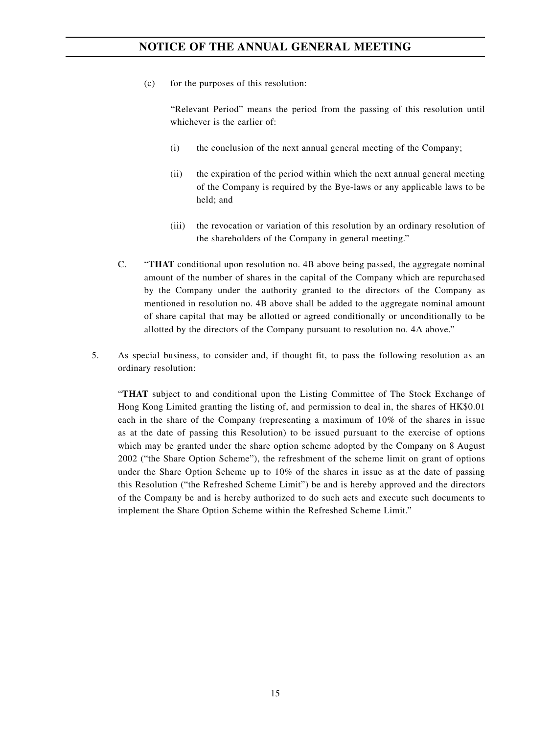(c) for the purposes of this resolution:

"Relevant Period" means the period from the passing of this resolution until whichever is the earlier of:

- (i) the conclusion of the next annual general meeting of the Company;
- (ii) the expiration of the period within which the next annual general meeting of the Company is required by the Bye-laws or any applicable laws to be held; and
- (iii) the revocation or variation of this resolution by an ordinary resolution of the shareholders of the Company in general meeting."
- C. "**THAT** conditional upon resolution no. 4B above being passed, the aggregate nominal amount of the number of shares in the capital of the Company which are repurchased by the Company under the authority granted to the directors of the Company as mentioned in resolution no. 4B above shall be added to the aggregate nominal amount of share capital that may be allotted or agreed conditionally or unconditionally to be allotted by the directors of the Company pursuant to resolution no. 4A above."
- 5. As special business, to consider and, if thought fit, to pass the following resolution as an ordinary resolution:

"**THAT** subject to and conditional upon the Listing Committee of The Stock Exchange of Hong Kong Limited granting the listing of, and permission to deal in, the shares of HK\$0.01 each in the share of the Company (representing a maximum of 10% of the shares in issue as at the date of passing this Resolution) to be issued pursuant to the exercise of options which may be granted under the share option scheme adopted by the Company on 8 August 2002 ("the Share Option Scheme"), the refreshment of the scheme limit on grant of options under the Share Option Scheme up to 10% of the shares in issue as at the date of passing this Resolution ("the Refreshed Scheme Limit") be and is hereby approved and the directors of the Company be and is hereby authorized to do such acts and execute such documents to implement the Share Option Scheme within the Refreshed Scheme Limit."